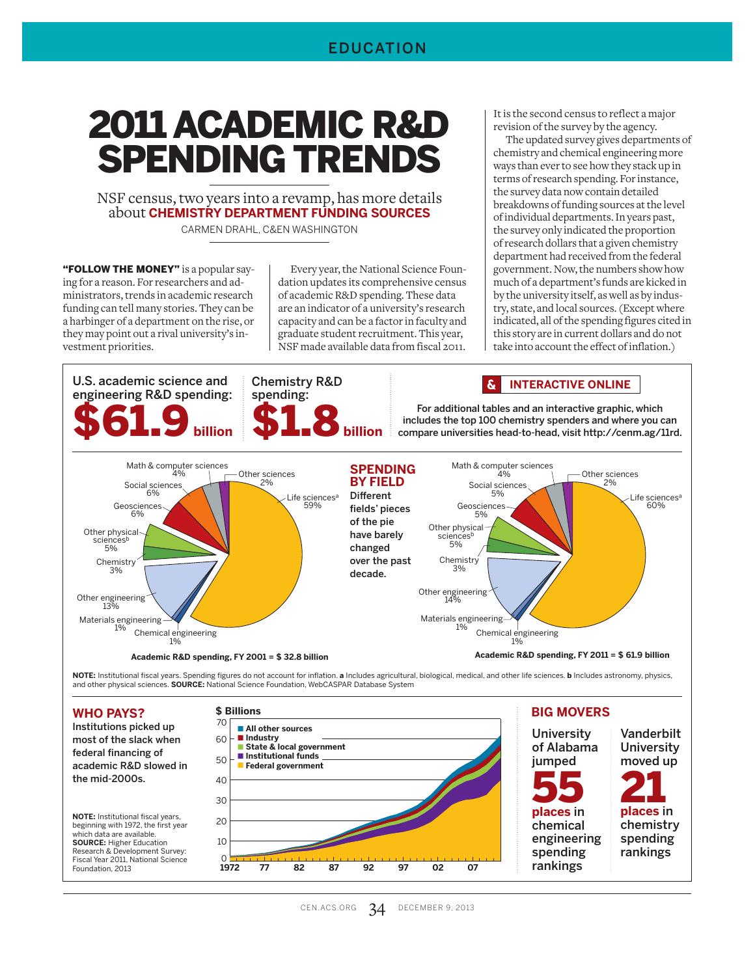#### EDUCATION

# 2011 ACADEMIC R&D SPENDING TRENDS

NSF census, two years into a revamp, has more details about **CHEMISTRY DEPARTMENT FUNDING SOURCES** CARMEN DRAHL, C&EN WASHINGTON

"FOLLOW THE MONEY" is a popular saying for a reason. For researchers and administrators, trends in academic research funding can tell many stories. They can be a harbinger of a department on the rise, or they may point out a rival university's investment priorities.

Every year, the National Science Foundation updates its comprehensive census of academic R&D spending. These data are an indicator of a university's research capacity and can be a factor in faculty and graduate student recruitment. This year, NSF made available data from fiscal 2011.

It is the second census to reflect a major revision of the survey by the agency.

The updated survey gives departments of chemistry and chemical engineering more ways than ever to see how they stack up in terms of research spending. For instance, the survey data now contain detailed breakdowns of funding sources at the level of individual departments. In years past, the survey only indicated the proportion of research dollars that a given chemistry department had received from the federal government. Now, the numbers show how much of a department's funds are kicked in by the university itself, as well as by industry, state, and local sources. (Except where indicated, all of the spending figures cited in this story are in current dollars and do not take into account the effect of inflation.)



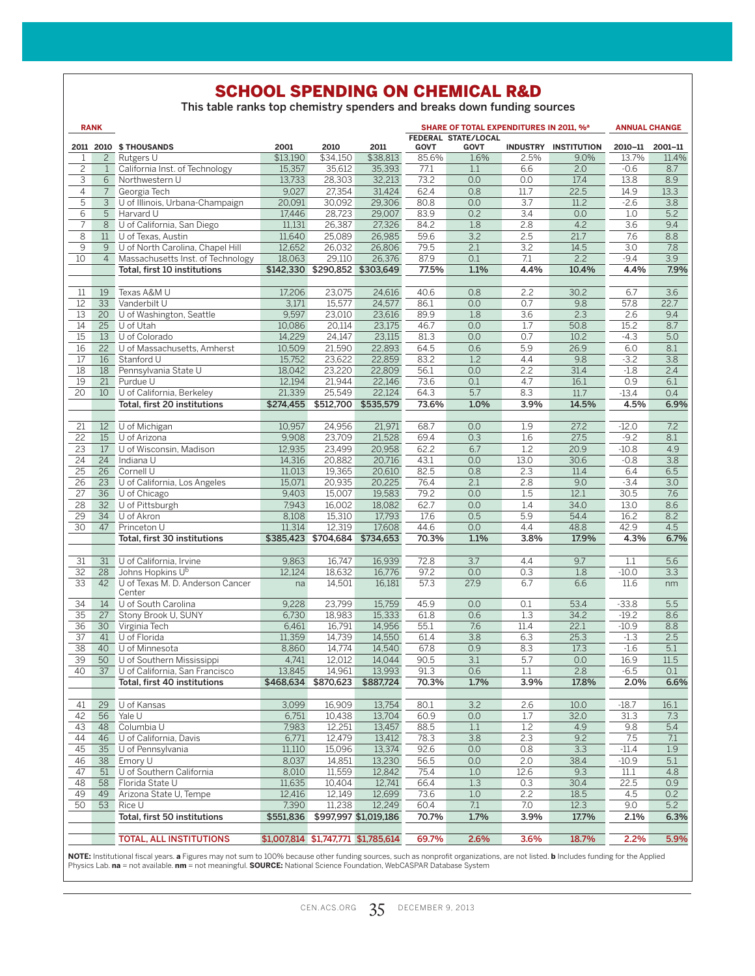## SCHOOL SPENDING ON CHEMICAL R&D

This table ranks top chemistry spenders and breaks down funding sources

|                                    | <b>RANK</b>                    |                                             |                    |                               |                                     |               | SHARE OF TOTAL EXPENDITURES IN 2011, % <sup>a</sup> |                  |                      | <b>ANNUAL CHANGE</b> |                  |
|------------------------------------|--------------------------------|---------------------------------------------|--------------------|-------------------------------|-------------------------------------|---------------|-----------------------------------------------------|------------------|----------------------|----------------------|------------------|
|                                    |                                |                                             |                    |                               |                                     |               | FEDERAL STATE/LOCAL                                 |                  |                      |                      |                  |
|                                    |                                | 2011 2010 \$ THOUSANDS                      | 2001               | 2010                          | 2011                                | <b>GOVT</b>   | <b>GOVT</b>                                         |                  | INDUSTRY INSTITUTION | 2010-11 2001-11      |                  |
| $\mathbf{1}$<br>$\overline{c}$     | $\overline{c}$<br>$\mathbf{1}$ | Rutgers U<br>California Inst. of Technology | \$13,190<br>15,357 | \$34,150<br>35,612            | \$38,813<br>35,393                  | 85.6%<br>77.1 | 1.6%<br>1.1                                         | 2.5%             | 9.0%<br>2.0          | 13.7%<br>$-0.6$      | 11.4%<br>8.7     |
| 3                                  | 6                              | Northwestern U                              | 13,733             | 28,303                        | 32,213                              | 73.2          | 0.0                                                 | 6.6<br>0.0       | 17.4                 | 13.8                 | 8.9              |
| $\overline{4}$                     | $7^{\circ}$                    | Georgia Tech                                | 9.027              | 27,354                        | 31,424                              | 62.4          | 0.8                                                 | 11.7             | 22.5                 | 14.9                 | 13.3             |
| $\overline{5}$                     | $\overline{3}$                 | U of Illinois, Urbana-Champaign             | 20,091             | 30,092                        | 29,306                              | 80.8          | 0.0                                                 | 3.7              | 11.2                 | $-2.6$               | 3.8              |
| 6                                  | $\overline{5}$                 | Harvard U                                   | 17,446             | 28,723                        | 29,007                              | 83.9          | 0.2                                                 | $\overline{3.4}$ | 0.0                  | 1.0                  | $\overline{5.2}$ |
| $\overline{7}$                     | 8                              | U of California, San Diego                  | 11,131             | 26,387                        | 27,326                              | 84.2          | 1.8                                                 | 2.8              | 4.2                  | 3.6                  | 9.4              |
| 8                                  | 11                             | U of Texas, Austin                          | 11,640             | 25,089                        | 26,985                              | 59.6          | 3.2                                                 | 2.5              | 21.7                 | 7.6                  | 8.8              |
| $\overline{9}$                     | 9                              | U of North Carolina, Chapel Hill            | 12,652             | 26,032                        | 26,806                              | 79.5          | 2.1                                                 | 3.2              | 14.5                 | 3.0                  | 7.8              |
| 10                                 | 4                              | Massachusetts Inst. of Technology           | 18,063             | 29,110                        | 26,376                              | 87.9          | 0.1                                                 | 7.1              | 2.2                  | $-9.4$               | $\overline{3.9}$ |
|                                    |                                | Total, first 10 institutions                |                    | \$142,330 \$290,852 \$303,649 |                                     | 77.5%         | 1.1%                                                | 4.4%             | 10.4%                | 4.4%                 | 7.9%             |
|                                    |                                |                                             |                    |                               |                                     |               |                                                     |                  |                      |                      |                  |
| 11                                 | 19                             | Texas A&M U                                 | 17,206             | 23,075                        | 24.616                              | 40.6          | 0.8                                                 | 2.2              | 30.2                 | 6.7                  | 3.6              |
| 12                                 | 33                             | Vanderbilt U                                | 3,171              | 15,577                        | 24,577                              | 86.1          | 0.0                                                 | 0.7              | 9.8                  | 57.8                 | 22.7             |
| $\overline{13}$                    | 20                             | U of Washington, Seattle                    | 9,597              | 23,010                        | 23,616                              | 89.9          | 1.8                                                 | 3.6              | 2.3                  | 2.6                  | 9.4              |
| 14                                 |                                | $25$ U of Utah                              | 10,086             | 20,114                        | 23,175                              | 46.7          | 0.0                                                 | 1.7              | 50.8                 | 15.2                 | 8.7              |
| $\overline{15}$                    | 13                             | U of Colorado                               | 14,229             | 24,147                        | 23,115                              | 81.3          | 0.0                                                 | 0.7              | 10.2                 | $-4.3$               | 5.0              |
| 16                                 |                                | 22 U of Massachusetts, Amherst              | 10,509             | 21,590                        | 22,893                              | 64.5          | 0.6                                                 | 5.9              | 26.9                 | 6.0                  | 8.1              |
| 17                                 | 16                             | Stanford U                                  | 15,752             | 23,622                        | 22,859                              | 83.2          | 1.2                                                 | 4.4              | 9.8                  | $-3.2$               | 3.8              |
| 18                                 | 18                             | Pennsylvania State U                        | 18,042             | 23,220                        | 22,809                              | 56.1          | 0.0                                                 | 2.2              | 31.4                 | $-1.8$               | 2.4              |
| 19                                 | 21                             | Purdue U                                    | 12,194             | 21,944                        | 22,146                              | 73.6          | 0.1                                                 | 4.7              | 16.1                 | 0.9                  | 6.1              |
| $\overline{20}$                    | $10-10$                        | U of California, Berkeley                   | 21,339             | 25,549                        | 22,124                              | 64.3          | 5.7                                                 | 8.3              | 11.7                 | $-13.4$              | 0.4              |
|                                    |                                | Total, first 20 institutions                | \$274,455          |                               | \$512,700 \$535,579                 | 73.6%         | 1.0%                                                | 3.9%             | 14.5%                | 4.5%                 | 6.9%             |
|                                    |                                |                                             |                    |                               |                                     |               |                                                     |                  |                      |                      |                  |
| 21                                 | 12                             | U of Michigan                               | 10,957             | 24,956                        | 21,971                              | 68.7          | 0.0                                                 | 1.9              | 27.2                 | $-12.0$              | 7.2              |
| 22                                 |                                | 15 U of Arizona                             | 9,908              | 23,709                        | 21,528                              | 69.4          | 0.3                                                 | 1.6              | 27.5                 | $-9.2$               | 8.1              |
| 23                                 | 17 <sup>7</sup>                | U of Wisconsin, Madison                     | 12,935             | 23,499                        | 20,958                              | 62.2          | 6.7                                                 | 1.2              | 20.9                 | $-10.8$              | 4.9              |
| 24                                 | 24                             | Indiana U                                   | 14,316             | 20,882                        | 20,716                              | 43.1          | 0.0                                                 | 13.0             | 30.6                 | $-0.8$               | 3.8              |
| 25                                 | 26                             | Cornell U                                   | 11,013             | 19,365                        | 20,610                              | 82.5          | 0.8                                                 | 2.3              | 11.4                 | 6.4                  | 6.5              |
| 26                                 | 23                             | U of California, Los Angeles                | 15,071             | 20,935                        | 20,225                              | 76.4          | 2.1                                                 | 2.8              | 9.0                  | $-3.4$               | 3.0              |
| 27                                 | 36                             | U of Chicago                                | 9,403              | 15,007                        | 19,583                              | 79.2          | 0.0                                                 | 1.5              | 12.1                 | 30.5                 | 7.6              |
| $\overline{28}$<br>$\overline{29}$ | 32 <sup>2</sup><br>34          | U of Pittsburgh<br>U of Akron               | 7,943<br>8.108     | 16,002<br>15,310              | 18,082<br>17,793                    | 62.7<br>17.6  | 0.0<br>0.5                                          | 1.4<br>5.9       | 34.0<br>54.4         | 13.0<br>16.2         | 8.6<br>8.2       |
| $\overline{30}$                    | 47                             | Princeton U                                 | 11,314             | 12,319                        | 17,608                              | 44.6          | 0.0                                                 | 4.4              | 48.8                 | 42.9                 | 4.5              |
|                                    |                                | Total, first 30 institutions                |                    | \$385,423 \$704,684 \$734,653 |                                     | 70.3%         | 1.1%                                                | 3.8%             | 17.9%                | 4.3%                 | 6.7%             |
|                                    |                                |                                             |                    |                               |                                     |               |                                                     |                  |                      |                      |                  |
| 31                                 | 31                             | U of California, Irvine                     | 9,863              | 16,747                        | 16,939                              | 72.8          | 3.7                                                 | 4.4              | 9.7                  | 1.1                  | 5.6              |
| $\overline{32}$                    | 28                             | Johns Hopkins Ub                            | 12,124             | 18,632                        | 16,776                              | 97.2          | 0.0                                                 | 0.3              | 1.8                  | $-10.0$              | 3.3              |
| $\overline{33}$                    | 42                             | U of Texas M. D. Anderson Cancer            | na                 | 14,501                        | 16,181                              | 57.3          | 27.9                                                | 6.7              | 6.6                  | 11.6                 | nm               |
|                                    |                                | Center                                      |                    |                               |                                     |               |                                                     |                  |                      |                      |                  |
| 34                                 | 14                             | U of South Carolina                         | 9,228              | 23,799                        | 15,759                              | 45.9          | 0.0                                                 | 0.1              | 53.4                 | $-33.8$              | 5.5              |
| 35                                 | 27                             | Stony Brook U, SUNY                         | 6,730              | 18,983                        | 15,333                              | 61.8          | 0.6                                                 | 1.3              | 34.2                 | $-19.2$              | 8.6              |
| 36                                 | 30 <sup>7</sup>                | Virginia Tech                               | 6,461              | 16,791                        | 14,956                              | 55.1          | 7.6                                                 | 11.4             | 22.1                 | $-10.9$              | 8.8              |
| $\overline{37}$                    |                                | 41 U of Florida                             | 11,359             | 14,739                        | 14,550                              | 61.4          | 3.8                                                 | 6.3              | 25.3                 | $-1.3$               | 2.5              |
| $\overline{38}$                    | 40                             | $\overline{U}$ of Minnesota                 | 8,860              | 14,774                        | 14,540                              | 67.8          | 0.9                                                 | 8.3              | 17.3                 | $-1.6$               | 5.1              |
| 39                                 |                                | 50 U of Southern Mississippi                | 4,741              | 12,012                        | 14,044                              | 90.5          | 3.1                                                 | 5.7              | 0.0                  | 16.9                 | 11.5             |
| 40                                 |                                | 37 U of California, San Francisco           | 13,845             | 14,961                        | 13,993                              | 91.3          | 0.6                                                 | 1.1              | 2.8                  | $-6.5$               | 0.1              |
|                                    |                                | Total, first 40 institutions                |                    |                               | \$468,634 \$870,623 \$887,724       | 70.3%         | 1.7%                                                | 3.9%             | 17.8%                | 2.0%                 | 6.6%             |
|                                    |                                |                                             |                    |                               |                                     |               |                                                     |                  |                      |                      |                  |
| 41                                 |                                | 29 U of Kansas                              | 3,099              | 16,909                        | 13,754                              | 80.1          | 3.2                                                 | 2.6              | 10.0                 | $-18.7$              | 16.1             |
| 42                                 |                                | 56 Yale U                                   | 6,751              | 10,438                        | 13,704                              | 60.9          | 0.0                                                 | 1.7              | 32.0                 | 31.3                 | 7.3              |
| 43                                 |                                | 48 Columbia U                               | 7,983              | 12,251                        | 13,457                              | 88.5          | 1.1                                                 | 1.2              | 4.9                  | 9.8                  | 5.4              |
| 44                                 | 46                             | U of California, Davis                      | 6,771              | 12,479                        | 13,412                              | 78.3          | 3.8                                                 | 2.3              | 9.2                  | 7.5                  | 7.1              |
| 45                                 |                                | 35 U of Pennsylvania                        | 11,110             | 15,096                        | 13,374                              | 92.6          | 0.0                                                 | 0.8              | 3.3                  | $-11.4$              | 1.9              |
| 46                                 |                                | 38 Emory U                                  | 8,037              | 14,851                        | 13,230                              | 56.5          | 0.0                                                 | 2.0              | 38.4                 | $-10.9$              | 5.1              |
| 47                                 |                                | 51 U of Southern California                 | 8,010              | 11,559                        | 12,842                              | 75.4          | 1.0                                                 | 12.6             | 9.3                  | 11.1                 | 4.8              |
| 48                                 |                                | 58 Florida State U                          | 11,635             | 10.404                        | 12,741                              | 66.4          | 1.3                                                 | 0.3              | 30.4                 | 22.5                 | 0.9              |
| 49<br>50                           | 49<br>53                       | Arizona State U, Tempe<br>Rice U            | 12,416<br>7.390    | 12,149<br>11,238              | 12,699<br>12,249                    | 73.6<br>60.4  | 1.0<br>7.1                                          | 2.2<br>7.0       | 18.5<br>12.3         | 4.5<br>9.0           | 0.2<br>5.2       |
|                                    |                                | Total, first 50 institutions                | \$551,836          |                               | \$997,997 \$1,019,186               | 70.7%         | 1.7%                                                | 3.9%             | 17.7%                | 2.1%                 | 6.3%             |
|                                    |                                |                                             |                    |                               |                                     |               |                                                     |                  |                      |                      |                  |
|                                    |                                | <b>TOTAL, ALL INSTITUTIONS</b>              |                    |                               | \$1,007,814 \$1,747,771 \$1,785,614 | 69.7%         | 2.6%                                                | 3.6%             | 18.7%                | 2.2%                 | 5.9%             |
|                                    |                                |                                             |                    |                               |                                     |               |                                                     |                  |                      |                      |                  |

**NOTE:** Institutional fiscal years. **a** Figures may not sum to 100% because other funding sources, such as nonprofit organizations, are not listed. **b** Includes funding for the Applied<br>Physics Lab. **na** = not available. **n**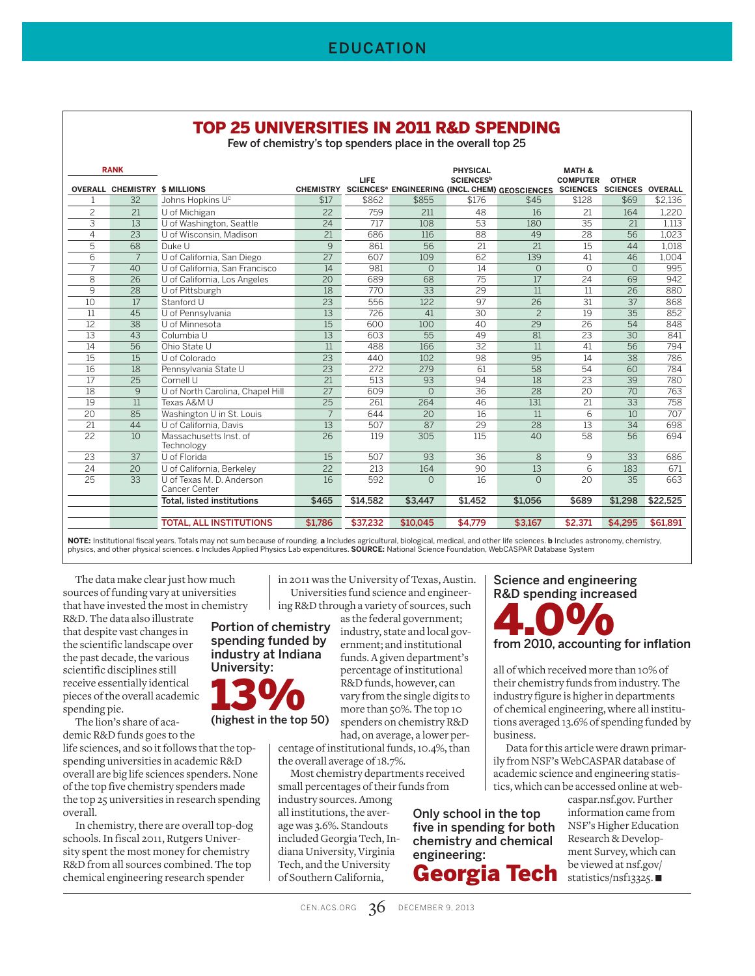#### TOP 25 UNIVERSITIES IN 2011 R&D SPENDING

Few of chemistry's top spenders place in the overall top 25

| <b>RANK</b>     |                                      |                                            |                  |             |                 | <b>PHYSICAL</b>              |                                                                                      | <b>MATH &amp;</b> |                 |          |
|-----------------|--------------------------------------|--------------------------------------------|------------------|-------------|-----------------|------------------------------|--------------------------------------------------------------------------------------|-------------------|-----------------|----------|
|                 | <b>OVERALL CHEMISTRY \$ MILLIONS</b> |                                            | <b>CHEMISTRY</b> | <b>LIFE</b> |                 | <b>SCIENCES</b> <sup>b</sup> | SCIENCES <sup>a</sup> ENGINEERING (INCL. CHEM) GEOSCIENCES SCIENCES SCIENCES OVERALL | <b>COMPUTER</b>   | <b>OTHER</b>    |          |
|                 | 32                                   | Johns Hopkins U <sup>c</sup>               | \$17             | \$862       | \$855           | \$176                        | \$45                                                                                 | \$128             | \$69            | \$2,136  |
| $\overline{c}$  | 21                                   | U of Michigan                              | 22               | 759         | 211             | 48                           | 16                                                                                   | 21                | 164             | 1.220    |
| 3               | 13                                   | U of Washington, Seattle                   | 24               | 717         | 108             | 53                           | 180                                                                                  | 35                | 21              | 1.113    |
| 4               | 23                                   | U of Wisconsin, Madison                    | 21               | 686         | 116             | 88                           | 49                                                                                   | 28                | 56              | 1,023    |
| 5               | 68                                   | Duke U                                     | 9                | 861         | 56              | 21                           | 21                                                                                   | 15                | 44              | 1,018    |
| 6               | $\overline{7}$                       | U of California, San Diego                 | $\overline{27}$  | 607         | 109             | 62                           | 139                                                                                  | 41                | 46              | 1.004    |
| $\overline{7}$  | 40                                   | U of California, San Francisco             | 14               | 981         | $\Omega$        | $\overline{14}$              | $\Omega$                                                                             | $\Omega$          | $\Omega$        | 995      |
| 8               | 26                                   | U of California, Los Angeles               | 20               | 689         | 68              | $\overline{75}$              | 17                                                                                   | 24                | 69              | 942      |
| 9               | 28                                   | U of Pittsburgh                            | $\overline{18}$  | 770         | $\overline{33}$ | $\overline{29}$              | 11                                                                                   | 11                | $\overline{26}$ | 880      |
| 10              | 17                                   | Stanford U                                 | $\overline{23}$  | 556         | 122             | 97                           | $\overline{26}$                                                                      | $\overline{31}$   | 37              | 868      |
| 11              | 45                                   | U of Pennsylvania                          | $\overline{13}$  | 726         | 41              | 30                           | $\overline{c}$                                                                       | 19                | $\overline{35}$ | 852      |
| 12              | 38                                   | U of Minnesota                             | 15               | 600         | 100             | 40                           | 29                                                                                   | 26                | 54              | 848      |
| $\overline{13}$ | 43                                   | Columbia U                                 | 13               | 603         | 55              | 49                           | 81                                                                                   | 23                | 30              | 841      |
| 14              | 56                                   | Ohio State U                               | 11               | 488         | 166             | $\overline{32}$              | 11                                                                                   | 41                | 56              | 794      |
| $\overline{15}$ | $\overline{15}$                      | U of Colorado                              | $\overline{23}$  | 440         | 102             | 98                           | 95                                                                                   | 14                | $\overline{38}$ | 786      |
| 16              | 18                                   | Pennsylvania State U                       | $\overline{23}$  | 272         | 279             | 61                           | 58                                                                                   | 54                | 60              | 784      |
| 17              | 25                                   | Cornell U                                  | 21               | 513         | 93              | 94                           | 18                                                                                   | 23                | $\overline{39}$ | 780      |
| 18              | 9                                    | U of North Carolina, Chapel Hill           | $\overline{27}$  | 609         | $\Omega$        | 36                           | 28                                                                                   | 20                | 70              | 763      |
| 19              | 11                                   | Texas A&M U                                | 25               | 261         | 264             | 46                           | 131                                                                                  | 21                | 33              | 758      |
| 20              | 85                                   | Washington U in St. Louis                  | $\overline{7}$   | 644         | 20              | 16                           | 11                                                                                   | 6                 | 10              | 707      |
| 21              | 44                                   | U of California, Davis                     | 13               | 507         | 87              | 29                           | $\overline{28}$                                                                      | 13                | 34              | 698      |
| 22              | 10                                   | Massachusetts Inst. of<br>Technology       | 26               | 119         | 305             | 115                          | 40                                                                                   | 58                | 56              | 694      |
| 23              | 37                                   | $\overline{U}$ of Florida                  | 15               | 507         | 93              | 36                           | 8                                                                                    | 9                 | 33              | 686      |
| 24              | 20                                   | U of California, Berkeley                  | $\overline{22}$  | 213         | 164             | 90                           | 13                                                                                   | 6                 | 183             | 671      |
| 25              | 33                                   | U of Texas M. D. Anderson<br>Cancer Center | 16               | 592         | $\Omega$        | 16                           | $\Omega$                                                                             | 20                | 35              | 663      |
|                 |                                      | <b>Total, listed institutions</b>          | \$465            | \$14.582    | \$3.447         | \$1.452                      | \$1.056                                                                              | \$689             | \$1.298         | \$22,525 |
|                 |                                      |                                            |                  |             |                 |                              |                                                                                      |                   |                 |          |
|                 |                                      | <b>TOTAL, ALL INSTITUTIONS</b>             | \$1.786          | \$37,232    | \$10.045        | \$4.779                      | \$3.167                                                                              | \$2,371           | \$4.295         | \$61.891 |

**NOTE:** Institutional fiscal years. Totals may not sum because of rounding. **a** Includes agricultural, biological, medical, and other life sciences. **b** Includes astronomy, chemistry,<br>physics, and other physical sciences.

The data make clear just how much sources of funding vary at universities that have invested the most in chemistry

R&D. The data also illustrate that despite vast changes in the scientific landscape over the past decade, the various scientific disciplines still receive essentially identical pieces of the overall academic spending pie.

The lion's share of academic R&D funds goes to the

life sciences, and so it follows that the topspending universities in academic R&D overall are big life sciences spenders. None of the top five chemistry spenders made the top 25 universities in research spending overall.

In chemistry, there are overall top-dog schools. In fiscal 2011, Rutgers University spent the most money for chemistry R&D from all sources combined. The top chemical engineering research spender

in 2011 was the University of Texas, Austin. Universities fund science and engineering R&D through a variety of sources, such

Portion of chemistry spending funded by industry at Indiana University: 13%

(highest in the top 50)

as the federal government; industry, state and local government; and institutional funds. A given department's percentage of institutional R&D funds, however, can

vary from the single digits to more than 50%. The top 10 spenders on chemistry R&D had, on average, a lower per-

centage of institutional funds, 10.4%, than the overall average of 18.7%.

Most chemistry departments received small percentages of their funds from industry sources. Among

all institutions, the average was 3.6%. Standouts included Georgia Tech, Indiana University, Virginia Tech, and the University of Southern California,

Science and engineering R&D spending increased 4.0% from 2010, accounting for inflation

all of which received more than 10% of their chemistry funds from industry. The industry figure is higher in departments of chemical engineering, where all institutions averaged 13.6% of spending funded by business.

Data for this article were drawn primarily from NSF's WebCASPAR database of academic science and engineering statistics, which can be accessed online at web-

Georgia Tech **Be Mewed at hsr.gov** Only school in the top five in spending for both chemistry and chemical engineering:

caspar.nsf.gov. Further information came from NSF's Higher Education Research & Development Survey, which can be viewed at nsf.gov/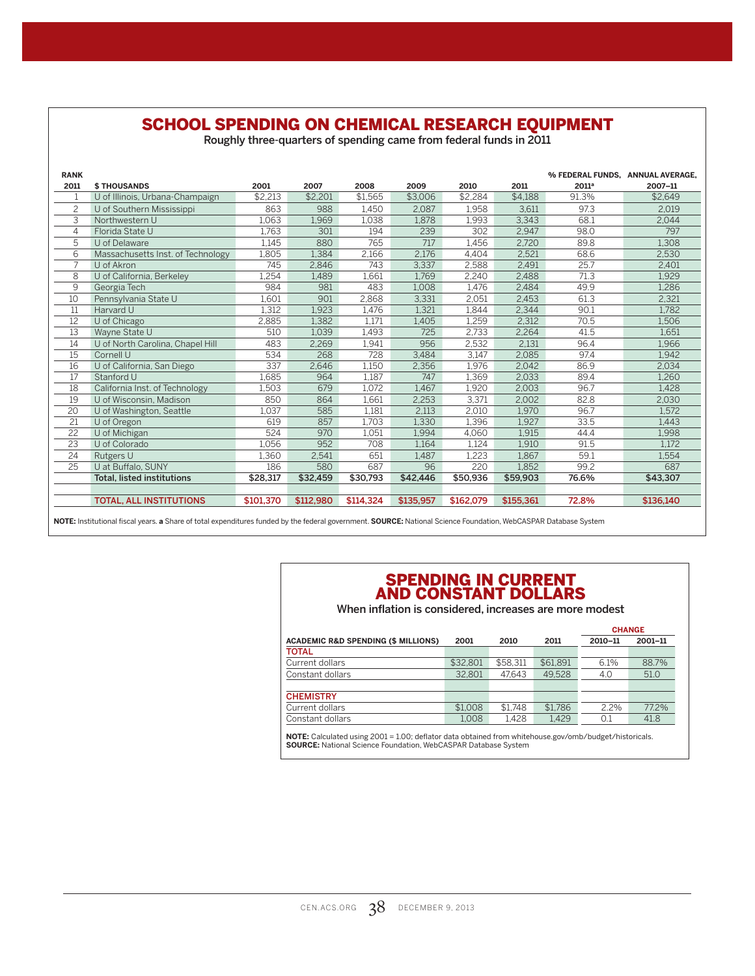## SCHOOL SPENDING ON CHEMICAL RESEARCH EQUIPMENT

Roughly three-quarters of spending came from federal funds in 2011

| <b>RANK</b>     |                                   |                               |           |           |           |           |           | % FEDERAL FUNDS, ANNUAL AVERAGE, |           |  |  |
|-----------------|-----------------------------------|-------------------------------|-----------|-----------|-----------|-----------|-----------|----------------------------------|-----------|--|--|
| 2011            | <b>\$THOUSANDS</b>                | 2001                          | 2007      | 2008      | 2009      | 2010      | 2011      | 2011 <sup>a</sup>                | 2007-11   |  |  |
|                 | U of Illinois, Urbana-Champaign   | \$2.213                       | \$2.201   | \$1.565   | \$3,006   | \$2.284   | \$4.188   | 91.3%                            | \$2.649   |  |  |
| $\overline{c}$  | U of Southern Mississippi         | 863                           | 988       | 1.450     | 2,087     | 1,958     | 3.611     | 97.3                             | 2.019     |  |  |
| 3               | Northwestern U                    | 1.063                         | 1.969     | 1.038     | 1.878     | 1.993     | 3.343     | 68.1                             | 2.044     |  |  |
| 4               | Florida State U                   | 1,763                         | 301       | 194       | 239       | 302       | 2,947     | 98.0                             | 797       |  |  |
| 5               | U of Delaware                     | 1,145                         | 880       | 765       | 717       | 1,456     | 2,720     | 89.8                             | 1,308     |  |  |
| 6               | Massachusetts Inst. of Technology | 1,805                         | 1.384     | 2,166     | 2.176     | 4.404     | 2,521     | 68.6                             | 2,530     |  |  |
| 7               | U of Akron                        | 745                           | 2,846     | 743       | 3,337     | 2,588     | 2,491     | 25.7                             | 2,401     |  |  |
| 8               | U of California, Berkeley         | 1,254                         | 1.489     | 1,661     | 1.769     | 2,240     | 2,488     | 71.3                             | 1.929     |  |  |
| 9               | Georgia Tech                      | 984                           | 981       | 483       | 1,008     | 1,476     | 2,484     | 49.9                             | 1,286     |  |  |
| 10              | Pennsylvania State U              | 1.601                         | 901       | 2,868     | 3,331     | 2,051     | 2,453     | 61.3                             | 2,321     |  |  |
| 11              | Harvard U                         | 1.312                         | 1.923     | 1,476     | 1.321     | 1.844     | 2,344     | 90.1                             | 1,782     |  |  |
| 12              | U of Chicago                      | 2,885                         | 1.382     | 1,171     | 1,405     | 1,259     | 2,312     | 70.5                             | 1,506     |  |  |
| 13              | Wayne State U                     | 510                           | 1,039     | 1,493     | 725       | 2,733     | 2,264     | 41.5                             | 1,651     |  |  |
| 14              | U of North Carolina, Chapel Hill  | 483                           | 2,269     | 1,941     | 956       | 2,532     | 2.131     | 96.4                             | 1.966     |  |  |
| 15              | Cornell U                         | 534                           | 268       | 728       | 3,484     | 3.147     | 2,085     | 97.4                             | 1.942     |  |  |
| 16              | U of California, San Diego        | 337                           | 2,646     | 1,150     | 2,356     | 1,976     | 2,042     | 86.9                             | 2,034     |  |  |
| 17              | Stanford U                        | 1,685                         | 964       | 1,187     | 747       | 1,369     | 2,033     | 89.4                             | 1,260     |  |  |
| 18              | California Inst. of Technology    | 1,503                         | 679       | 1,072     | 1.467     | 1,920     | 2,003     | 96.7                             | 1.428     |  |  |
| 19              | U of Wisconsin, Madison           | 850                           | 864       | 1.661     | 2,253     | 3.371     | 2,002     | 82.8                             | 2,030     |  |  |
| 20              | U of Washington, Seattle          | 1.037                         | 585       | 1.181     | 2,113     | 2,010     | 1.970     | 96.7                             | 1.572     |  |  |
| 21              | U of Oregon                       | 619                           | 857       | 1,703     | 1,330     | 1,396     | 1,927     | 33.5                             | 1.443     |  |  |
| $\overline{22}$ | U of Michigan                     | 524                           | 970       | 1,051     | 1,994     | 4.060     | 1.915     | 44.4                             | 1,998     |  |  |
| 23              | U of Colorado                     | 1,056                         | 952       | 708       | 1,164     | 1,124     | 1,910     | 91.5                             | 1,172     |  |  |
| 24              | Rutgers U                         | 1,360                         | 2,541     | 651       | 1,487     | 1,223     | 1.867     | 59.1                             | 1,554     |  |  |
| 25              | U at Buffalo, SUNY                | 186                           | 580       | 687       | 96        | 220       | 1.852     | 99.2                             | 687       |  |  |
|                 | <b>Total. listed institutions</b> | \$28.317                      | \$32,459  | \$30,793  | \$42,446  | \$50,936  | \$59,903  | 76.6%                            | \$43,307  |  |  |
|                 |                                   |                               |           |           |           |           |           |                                  |           |  |  |
|                 | <b>TOTAL, ALL INSTITUTIONS</b>    | \$101.370                     | \$112,980 | \$114.324 | \$135,957 | \$162.079 | \$155.361 | 72.8%                            | \$136.140 |  |  |
|                 |                                   | $\cdots$ $\cdots$<br>$\cdots$ |           |           |           |           |           |                                  |           |  |  |

**NOTE:** Institutional fiscal years. **a** Share of total expenditures funded by the federal government. **SOURCE:** National Science Foundation, WebCASPAR Database System

#### SPENDING IN CURRENT AND CONSTANT DOLLARS

When inflation is considered, increases are more modest

|          |          |          | <b>CHANGE</b> |         |  |
|----------|----------|----------|---------------|---------|--|
| 2001     | 2010     | 2011     | 2010-11       | 2001-11 |  |
|          |          |          |               |         |  |
| \$32,801 | \$58.311 | \$61.891 | 6.1%          | 88.7%   |  |
| 32.801   | 47.643   | 49.528   | 4.0           | 51.0    |  |
|          |          |          |               |         |  |
|          |          |          |               |         |  |
| \$1,008  | \$1.748  | \$1.786  | 2.2%          | 77.2%   |  |
| 1.008    | 1.428    | 1.429    | 0.1           | 41.8    |  |
|          |          |          |               |         |  |

**NOTE:** Calculated using 2001 = 1.00; deflator data obtained from whitehouse.gov/omb/budget/historicals. **SOURCE:** National Science Foundation, WebCASPAR Database System